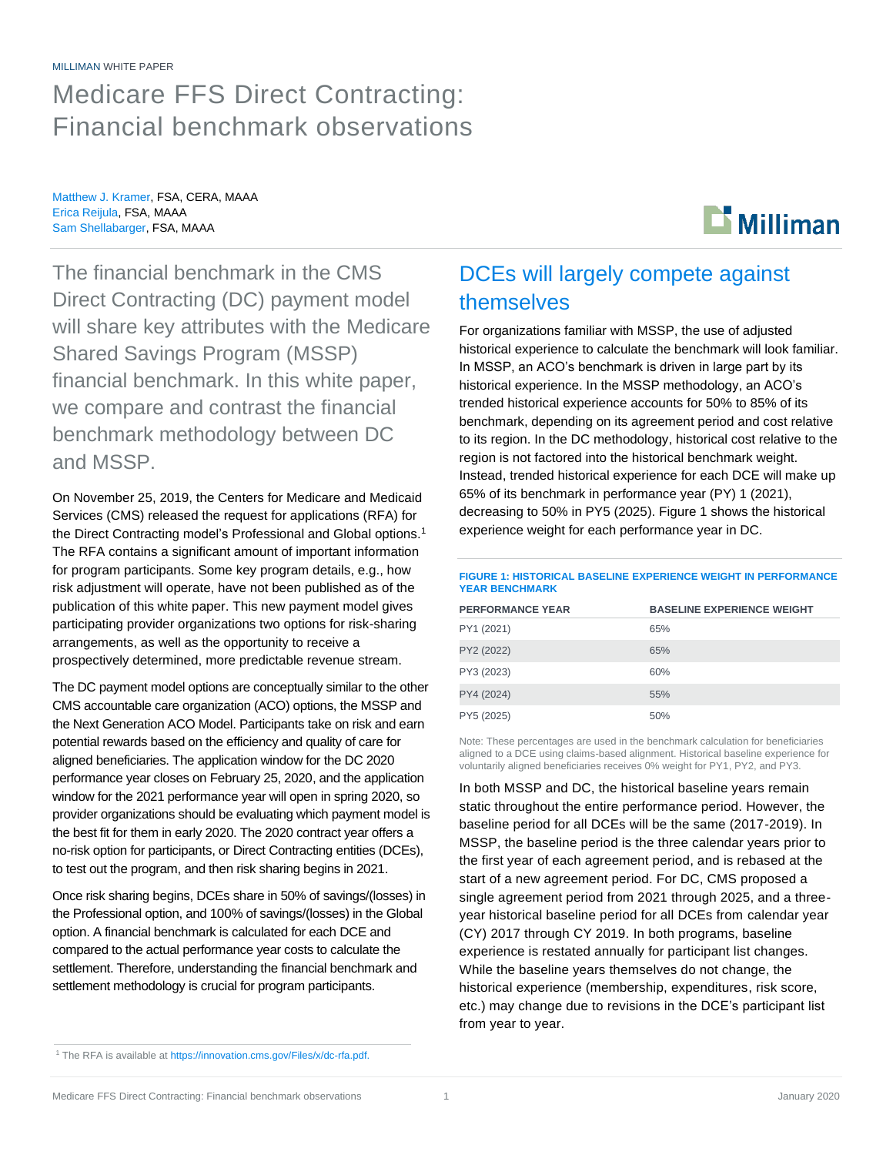#### MILLIMAN WHITE PAPER

Medicare FFS Direct Contracting: Financial benchmark observations

Matthew J. Kramer, FSA, CERA, MAAA Erica Reijula, FSA, MAAA Sam Shellabarger, FSA, MAAA



The financial benchmark in the CMS Direct Contracting (DC) payment model will share key attributes with the Medicare Shared Savings Program (MSSP) financial benchmark. In this white paper, we compare and contrast the financial benchmark methodology between DC and MSSP.

On November 25, 2019, the Centers for Medicare and Medicaid Services (CMS) released the request for applications (RFA) for the Direct Contracting model's Professional and Global options.<sup>1</sup> The RFA contains a significant amount of important information for program participants. Some key program details, e.g., how risk adjustment will operate, have not been published as of the publication of this white paper. This new payment model gives participating provider organizations two options for risk-sharing arrangements, as well as the opportunity to receive a prospectively determined, more predictable revenue stream.

The DC payment model options are conceptually similar to the other CMS accountable care organization (ACO) options, the MSSP and the Next Generation ACO Model. Participants take on risk and earn potential rewards based on the efficiency and quality of care for aligned beneficiaries. The application window for the DC 2020 performance year closes on February 25, 2020, and the application window for the 2021 performance year will open in spring 2020, so provider organizations should be evaluating which payment model is the best fit for them in early 2020. The 2020 contract year offers a no-risk option for participants, or Direct Contracting entities (DCEs), to test out the program, and then risk sharing begins in 2021.

Once risk sharing begins, DCEs share in 50% of savings/(losses) in the Professional option, and 100% of savings/(losses) in the Global option. A financial benchmark is calculated for each DCE and compared to the actual performance year costs to calculate the settlement. Therefore, understanding the financial benchmark and settlement methodology is crucial for program participants.

## DCEs will largely compete against themselves

For organizations familiar with MSSP, the use of adjusted historical experience to calculate the benchmark will look familiar. In MSSP, an ACO's benchmark is driven in large part by its historical experience. In the MSSP methodology, an ACO's trended historical experience accounts for 50% to 85% of its benchmark, depending on its agreement period and cost relative to its region. In the DC methodology, historical cost relative to the region is not factored into the historical benchmark weight. Instead, trended historical experience for each DCE will make up 65% of its benchmark in performance year (PY) 1 (2021), decreasing to 50% in PY5 (2025). Figure 1 shows the historical experience weight for each performance year in DC.

**FIGURE 1: HISTORICAL BASELINE EXPERIENCE WEIGHT IN PERFORMANCE YEAR BENCHMARK**

| <b>PERFORMANCE YEAR</b> | <b>BASELINE EXPERIENCE WEIGHT</b> |
|-------------------------|-----------------------------------|
| PY1 (2021)              | 65%                               |
| PY2 (2022)              | 65%                               |
| PY3 (2023)              | 60%                               |
| PY4 (2024)              | 55%                               |
| PY5 (2025)              | 50%                               |

Note: These percentages are used in the benchmark calculation for beneficiaries aligned to a DCE using claims-based alignment. Historical baseline experience for voluntarily aligned beneficiaries receives 0% weight for PY1, PY2, and PY3.

In both MSSP and DC, the historical baseline years remain static throughout the entire performance period. However, the baseline period for all DCEs will be the same (2017-2019). In MSSP, the baseline period is the three calendar years prior to the first year of each agreement period, and is rebased at the start of a new agreement period. For DC, CMS proposed a single agreement period from 2021 through 2025, and a threeyear historical baseline period for all DCEs from calendar year (CY) 2017 through CY 2019. In both programs, baseline experience is restated annually for participant list changes. While the baseline years themselves do not change, the historical experience (membership, expenditures, risk score, etc.) may change due to revisions in the DCE's participant list from year to year.

<sup>&</sup>lt;sup>1</sup> The RFA is available at [https://innovation.cms.gov/Files/x/dc-rfa.pdf.](https://innovation.cms.gov/Files/x/dc-rfa.pdf)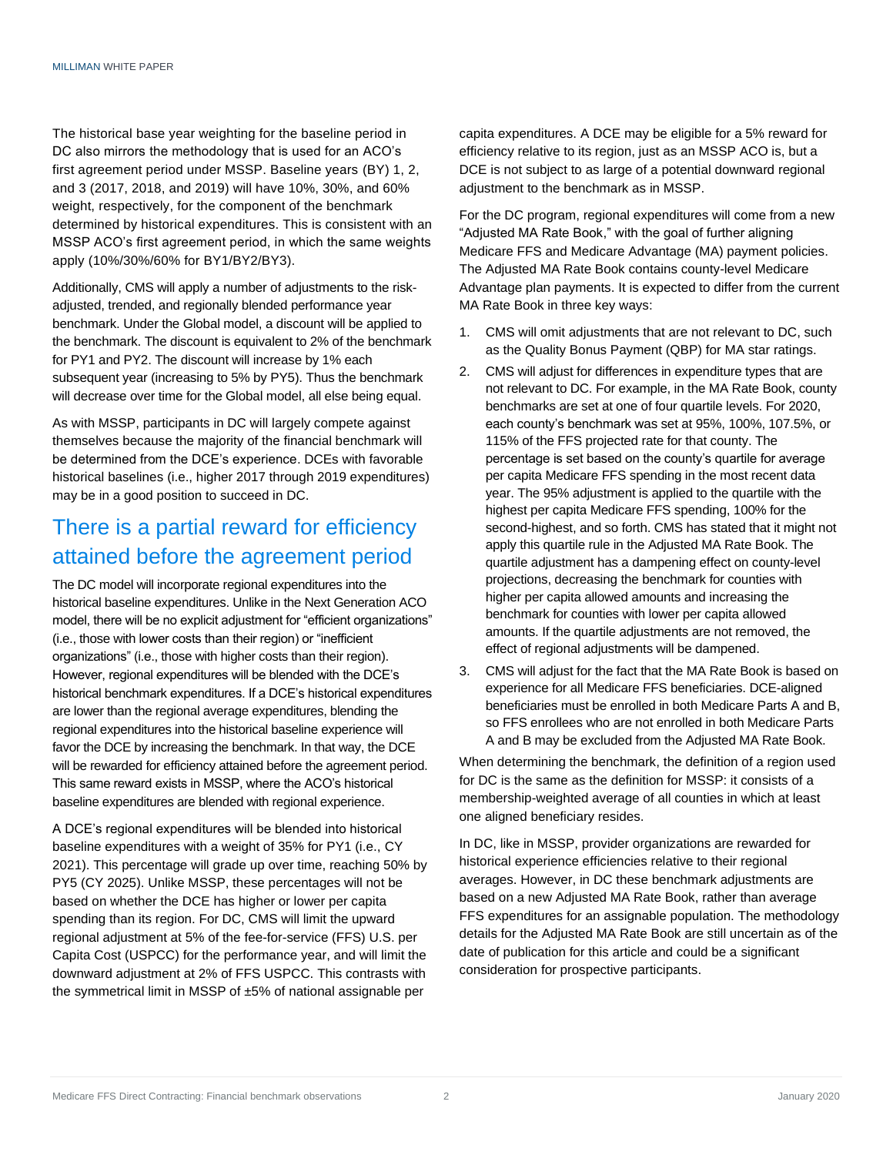The historical base year weighting for the baseline period in DC also mirrors the methodology that is used for an ACO's first agreement period under MSSP. Baseline years (BY) 1, 2, and 3 (2017, 2018, and 2019) will have 10%, 30%, and 60% weight, respectively, for the component of the benchmark determined by historical expenditures. This is consistent with an MSSP ACO's first agreement period, in which the same weights apply (10%/30%/60% for BY1/BY2/BY3).

Additionally, CMS will apply a number of adjustments to the riskadjusted, trended, and regionally blended performance year benchmark. Under the Global model, a discount will be applied to the benchmark. The discount is equivalent to 2% of the benchmark for PY1 and PY2. The discount will increase by 1% each subsequent year (increasing to 5% by PY5). Thus the benchmark will decrease over time for the Global model, all else being equal.

As with MSSP, participants in DC will largely compete against themselves because the majority of the financial benchmark will be determined from the DCE's experience. DCEs with favorable historical baselines (i.e., higher 2017 through 2019 expenditures) may be in a good position to succeed in DC.

## There is a partial reward for efficiency attained before the agreement period

The DC model will incorporate regional expenditures into the historical baseline expenditures. Unlike in the Next Generation ACO model, there will be no explicit adjustment for "efficient organizations" (i.e., those with lower costs than their region) or "inefficient organizations" (i.e., those with higher costs than their region). However, regional expenditures will be blended with the DCE's historical benchmark expenditures. If a DCE's historical expenditures are lower than the regional average expenditures, blending the regional expenditures into the historical baseline experience will favor the DCE by increasing the benchmark. In that way, the DCE will be rewarded for efficiency attained before the agreement period. This same reward exists in MSSP, where the ACO's historical baseline expenditures are blended with regional experience.

A DCE's regional expenditures will be blended into historical baseline expenditures with a weight of 35% for PY1 (i.e., CY 2021). This percentage will grade up over time, reaching 50% by PY5 (CY 2025). Unlike MSSP, these percentages will not be based on whether the DCE has higher or lower per capita spending than its region. For DC, CMS will limit the upward regional adjustment at 5% of the fee-for-service (FFS) U.S. per Capita Cost (USPCC) for the performance year, and will limit the downward adjustment at 2% of FFS USPCC. This contrasts with the symmetrical limit in MSSP of ±5% of national assignable per

capita expenditures. A DCE may be eligible for a 5% reward for efficiency relative to its region, just as an MSSP ACO is, but a DCE is not subject to as large of a potential downward regional adjustment to the benchmark as in MSSP.

For the DC program, regional expenditures will come from a new "Adjusted MA Rate Book," with the goal of further aligning Medicare FFS and Medicare Advantage (MA) payment policies. The Adjusted MA Rate Book contains county-level Medicare Advantage plan payments. It is expected to differ from the current MA Rate Book in three key ways:

- 1. CMS will omit adjustments that are not relevant to DC, such as the Quality Bonus Payment (QBP) for MA star ratings.
- 2. CMS will adjust for differences in expenditure types that are not relevant to DC. For example, in the MA Rate Book, county benchmarks are set at one of four quartile levels. For 2020, each county's benchmark was set at 95%, 100%, 107.5%, or 115% of the FFS projected rate for that county. The percentage is set based on the county's quartile for average per capita Medicare FFS spending in the most recent data year. The 95% adjustment is applied to the quartile with the highest per capita Medicare FFS spending, 100% for the second-highest, and so forth. CMS has stated that it might not apply this quartile rule in the Adjusted MA Rate Book. The quartile adjustment has a dampening effect on county-level projections, decreasing the benchmark for counties with higher per capita allowed amounts and increasing the benchmark for counties with lower per capita allowed amounts. If the quartile adjustments are not removed, the effect of regional adjustments will be dampened.
- 3. CMS will adjust for the fact that the MA Rate Book is based on experience for all Medicare FFS beneficiaries. DCE-aligned beneficiaries must be enrolled in both Medicare Parts A and B, so FFS enrollees who are not enrolled in both Medicare Parts A and B may be excluded from the Adjusted MA Rate Book.

When determining the benchmark, the definition of a region used for DC is the same as the definition for MSSP: it consists of a membership-weighted average of all counties in which at least one aligned beneficiary resides.

In DC, like in MSSP, provider organizations are rewarded for historical experience efficiencies relative to their regional averages. However, in DC these benchmark adjustments are based on a new Adjusted MA Rate Book, rather than average FFS expenditures for an assignable population. The methodology details for the Adjusted MA Rate Book are still uncertain as of the date of publication for this article and could be a significant consideration for prospective participants.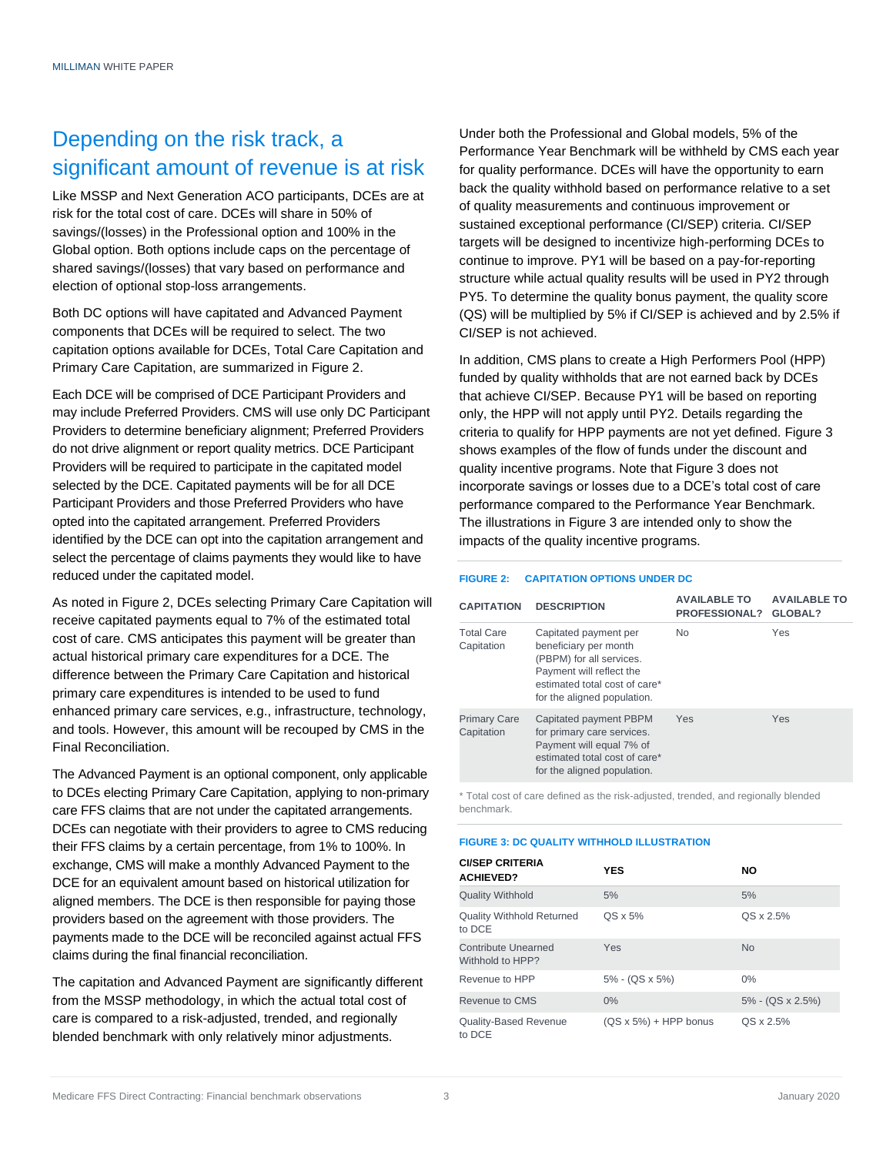## Depending on the risk track, a significant amount of revenue is at risk

Like MSSP and Next Generation ACO participants, DCEs are at risk for the total cost of care. DCEs will share in 50% of savings/(losses) in the Professional option and 100% in the Global option. Both options include caps on the percentage of shared savings/(losses) that vary based on performance and election of optional stop-loss arrangements.

Both DC options will have capitated and Advanced Payment components that DCEs will be required to select. The two capitation options available for DCEs, Total Care Capitation and Primary Care Capitation, are summarized in Figure 2.

Each DCE will be comprised of DCE Participant Providers and may include Preferred Providers. CMS will use only DC Participant Providers to determine beneficiary alignment; Preferred Providers do not drive alignment or report quality metrics. DCE Participant Providers will be required to participate in the capitated model selected by the DCE. Capitated payments will be for all DCE Participant Providers and those Preferred Providers who have opted into the capitated arrangement. Preferred Providers identified by the DCE can opt into the capitation arrangement and select the percentage of claims payments they would like to have reduced under the capitated model.

As noted in Figure 2, DCEs selecting Primary Care Capitation will receive capitated payments equal to 7% of the estimated total cost of care. CMS anticipates this payment will be greater than actual historical primary care expenditures for a DCE. The difference between the Primary Care Capitation and historical primary care expenditures is intended to be used to fund enhanced primary care services, e.g., infrastructure, technology, and tools. However, this amount will be recouped by CMS in the Final Reconciliation.

The Advanced Payment is an optional component, only applicable to DCEs electing Primary Care Capitation, applying to non-primary care FFS claims that are not under the capitated arrangements. DCEs can negotiate with their providers to agree to CMS reducing their FFS claims by a certain percentage, from 1% to 100%. In exchange, CMS will make a monthly Advanced Payment to the DCE for an equivalent amount based on historical utilization for aligned members. The DCE is then responsible for paying those providers based on the agreement with those providers. The payments made to the DCE will be reconciled against actual FFS claims during the final financial reconciliation.

The capitation and Advanced Payment are significantly different from the MSSP methodology, in which the actual total cost of care is compared to a risk-adjusted, trended, and regionally blended benchmark with only relatively minor adjustments.

Under both the Professional and Global models, 5% of the Performance Year Benchmark will be withheld by CMS each year for quality performance. DCEs will have the opportunity to earn back the quality withhold based on performance relative to a set of quality measurements and continuous improvement or sustained exceptional performance (CI/SEP) criteria. CI/SEP targets will be designed to incentivize high-performing DCEs to continue to improve. PY1 will be based on a pay-for-reporting structure while actual quality results will be used in PY2 through PY5. To determine the quality bonus payment, the quality score (QS) will be multiplied by 5% if CI/SEP is achieved and by 2.5% if CI/SEP is not achieved.

In addition, CMS plans to create a High Performers Pool (HPP) funded by quality withholds that are not earned back by DCEs that achieve CI/SEP. Because PY1 will be based on reporting only, the HPP will not apply until PY2. Details regarding the criteria to qualify for HPP payments are not yet defined. Figure 3 shows examples of the flow of funds under the discount and quality incentive programs. Note that Figure 3 does not incorporate savings or losses due to a DCE's total cost of care performance compared to the Performance Year Benchmark. The illustrations in Figure 3 are intended only to show the impacts of the quality incentive programs.

#### **FIGURE 2: CAPITATION OPTIONS UNDER DC**

| <b>CAPITATION</b>                 | <b>DESCRIPTION</b>                                                                                                                                                     | <b>AVAILABLE TO</b><br><b>PROFESSIONAL?</b> | <b>AVAILABLE TO</b><br>GLOBAL? |
|-----------------------------------|------------------------------------------------------------------------------------------------------------------------------------------------------------------------|---------------------------------------------|--------------------------------|
| <b>Total Care</b><br>Capitation   | Capitated payment per<br>beneficiary per month<br>(PBPM) for all services.<br>Payment will reflect the<br>estimated total cost of care*<br>for the aligned population. | <b>No</b>                                   | Yes                            |
| <b>Primary Care</b><br>Capitation | Capitated payment PBPM<br>for primary care services.<br>Payment will equal 7% of<br>estimated total cost of care*<br>for the aligned population.                       | Yes                                         | Yes                            |

\* Total cost of care defined as the risk-adjusted, trended, and regionally blended benchmark.

#### **FIGURE 3: DC QUALITY WITHHOLD ILLUSTRATION**

| <b>CI/SEP CRITERIA</b><br><b>ACHIEVED?</b> | <b>YES</b>                    | <b>NO</b>        |
|--------------------------------------------|-------------------------------|------------------|
| <b>Quality Withhold</b>                    | 5%                            | 5%               |
| <b>Quality Withhold Returned</b><br>to DCE | $OS \times 5\%$               | QS x 2.5%        |
| Contribute Unearned<br>Withhold to HPP?    | Yes                           | <b>No</b>        |
| Revenue to HPP                             | $5\% - (QS \times 5\%)$       | $0\%$            |
| Revenue to CMS                             | $0\%$                         | 5% - (QS x 2.5%) |
| <b>Quality-Based Revenue</b><br>to DCE     | $(QS \times 5\%)$ + HPP bonus | QS x 2.5%        |